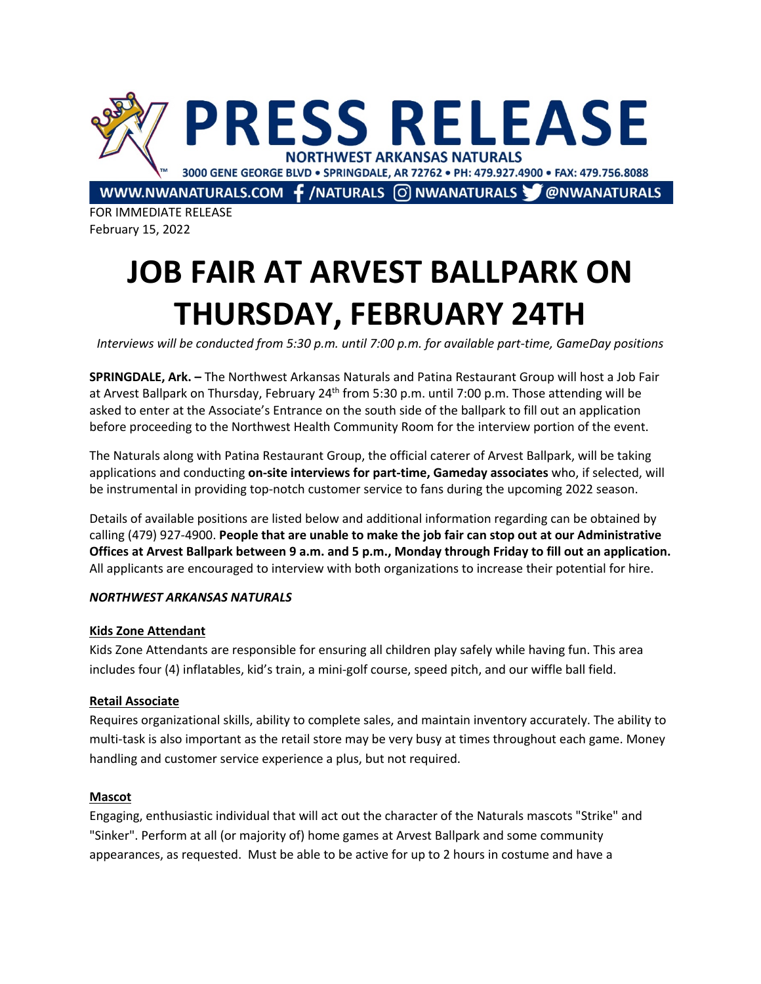

FOR IMMEDIATE RELEASE February 15, 2022

# **JOB FAIR AT ARVEST BALLPARK ON THURSDAY, FEBRUARY 24TH**

*Interviews will be conducted from 5:30 p.m. until 7:00 p.m. for available part-time, GameDay positions*

**SPRINGDALE, Ark. –** The Northwest Arkansas Naturals and Patina Restaurant Group will host a Job Fair at Arvest Ballpark on Thursday, February 24<sup>th</sup> from 5:30 p.m. until 7:00 p.m. Those attending will be asked to enter at the Associate's Entrance on the south side of the ballpark to fill out an application before proceeding to the Northwest Health Community Room for the interview portion of the event.

The Naturals along with Patina Restaurant Group, the official caterer of Arvest Ballpark, will be taking applications and conducting **on-site interviews for part-time, Gameday associates** who, if selected, will be instrumental in providing top-notch customer service to fans during the upcoming 2022 season.

Details of available positions are listed below and additional information regarding can be obtained by calling (479) 927-4900. **People that are unable to make the job fair can stop out at our Administrative Offices at Arvest Ballpark between 9 a.m. and 5 p.m., Monday through Friday to fill out an application.** All applicants are encouraged to interview with both organizations to increase their potential for hire.

# *NORTHWEST ARKANSAS NATURALS*

# **Kids Zone Attendant**

Kids Zone Attendants are responsible for ensuring all children play safely while having fun. This area includes four (4) inflatables, kid's train, a mini-golf course, speed pitch, and our wiffle ball field.

# **Retail Associate**

Requires organizational skills, ability to complete sales, and maintain inventory accurately. The ability to multi-task is also important as the retail store may be very busy at times throughout each game. Money handling and customer service experience a plus, but not required.

# **Mascot**

Engaging, enthusiastic individual that will act out the character of the Naturals mascots "Strike" and "Sinker". Perform at all (or majority of) home games at Arvest Ballpark and some community appearances, as requested. Must be able to be active for up to 2 hours in costume and have a